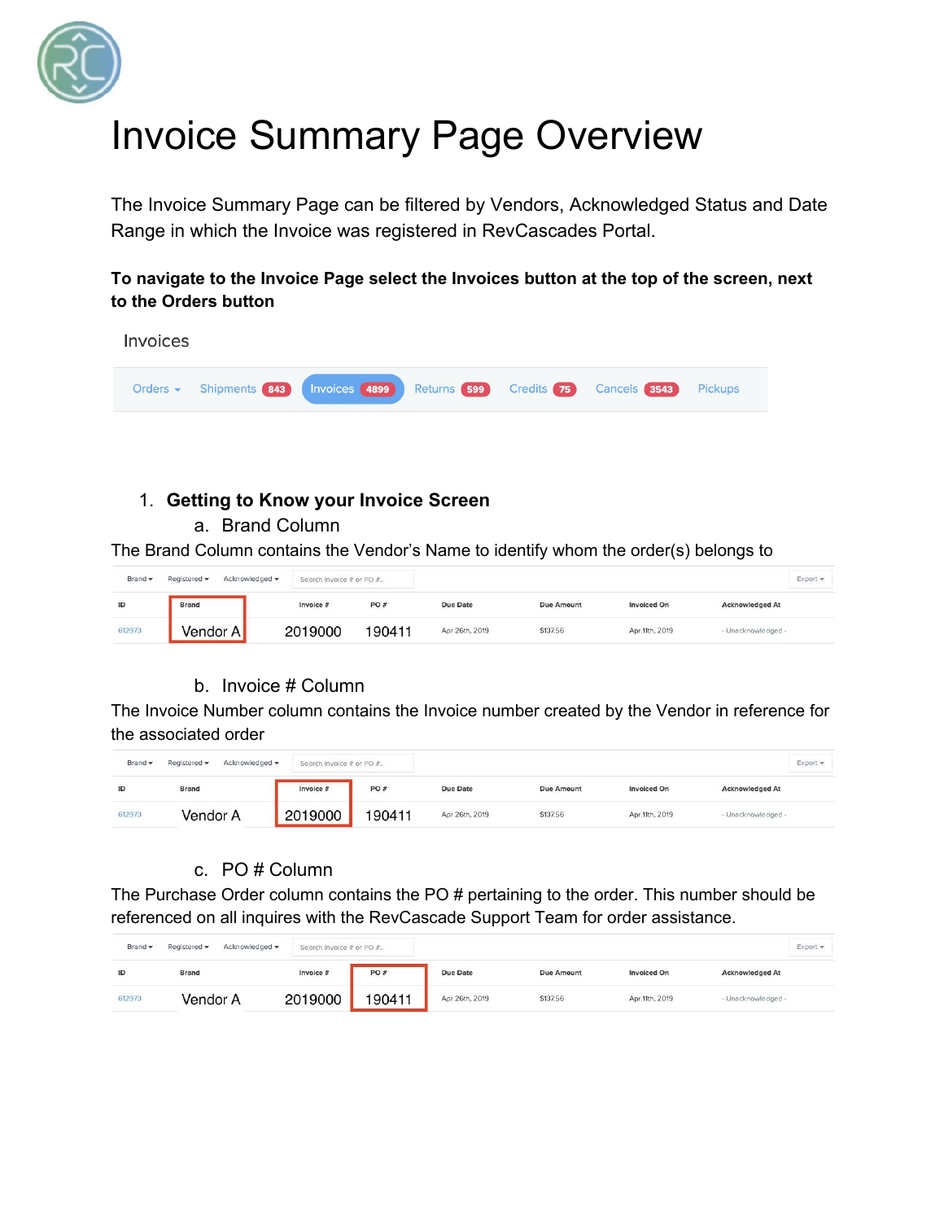

# Invoice Summary Page Overview

The Invoice Summary Page can be filtered by Vendors, Acknowledged Status and Date Range in which the Invoice was registered in RevCascades Portal.

**To navigate to the Invoice Page select the Invoices button at the top of the screen, next to the Orders button**



# 1. **Getting to Know your Invoice Screen**

a. Brand Column

The Brand Column contains the Vendor's Name to identify whom the order(s) belongs to

| Brand -  | Acknowledged -<br>Registered - | Search Invoice # or PO # |                          |                 |                   |                    | $Export =$             |
|----------|--------------------------------|--------------------------|--------------------------|-----------------|-------------------|--------------------|------------------------|
| $\sf ID$ | <b>Brand</b>                   | Invoice #                | <b>CONTRACTOR</b><br>PO# | <b>Due Date</b> | <b>Due Amount</b> | <b>Invoiced On</b> | <b>Acknowledged At</b> |
| 612973   | <b>Vendor</b>                  | 2019000                  | 190411                   | Apr 26th, 2019  | \$137.56          | Apr 11th, 2019     | - Unacknowledged -     |

## b. Invoice # Column

The Invoice Number column contains the Invoice number created by the Vendor in reference for the associated order

| Brand - | Acknowledged -<br>Registered v | Search Invoice # or PO # |        |                 |                   |                    | $Export =$             |
|---------|--------------------------------|--------------------------|--------|-----------------|-------------------|--------------------|------------------------|
| ID      | Brand                          | Invoice #                | PO#    | <b>Due Date</b> | <b>Due Amount</b> | <b>Invoiced On</b> | <b>Acknowledged At</b> |
| 612973  | Vendor A                       | 2019000                  | 190411 | Apr 26th, 2019  | \$137.56          | Apr 11th, 2019     | - Unacknowledged -     |

#### c. PO # Column

The Purchase Order column contains the PO # pertaining to the order. This number should be referenced on all inquires with the RevCascade Support Team for order assistance.

| Brand - | Acknowledged -<br>Registered - | Search Invoice # or PO # |        |                 |                   |                    | $Export =$             |
|---------|--------------------------------|--------------------------|--------|-----------------|-------------------|--------------------|------------------------|
| ID      | Brand                          | Invoice #                | PO#    | <b>Due Date</b> | <b>Due Amount</b> | <b>Invoiced On</b> | <b>Acknowledged At</b> |
| 612973  | Vendor A                       | 2019000                  | 190411 | Apr 26th, 2019  | \$137.56          | Apr 11th, 2019     | - Unacknowledged -     |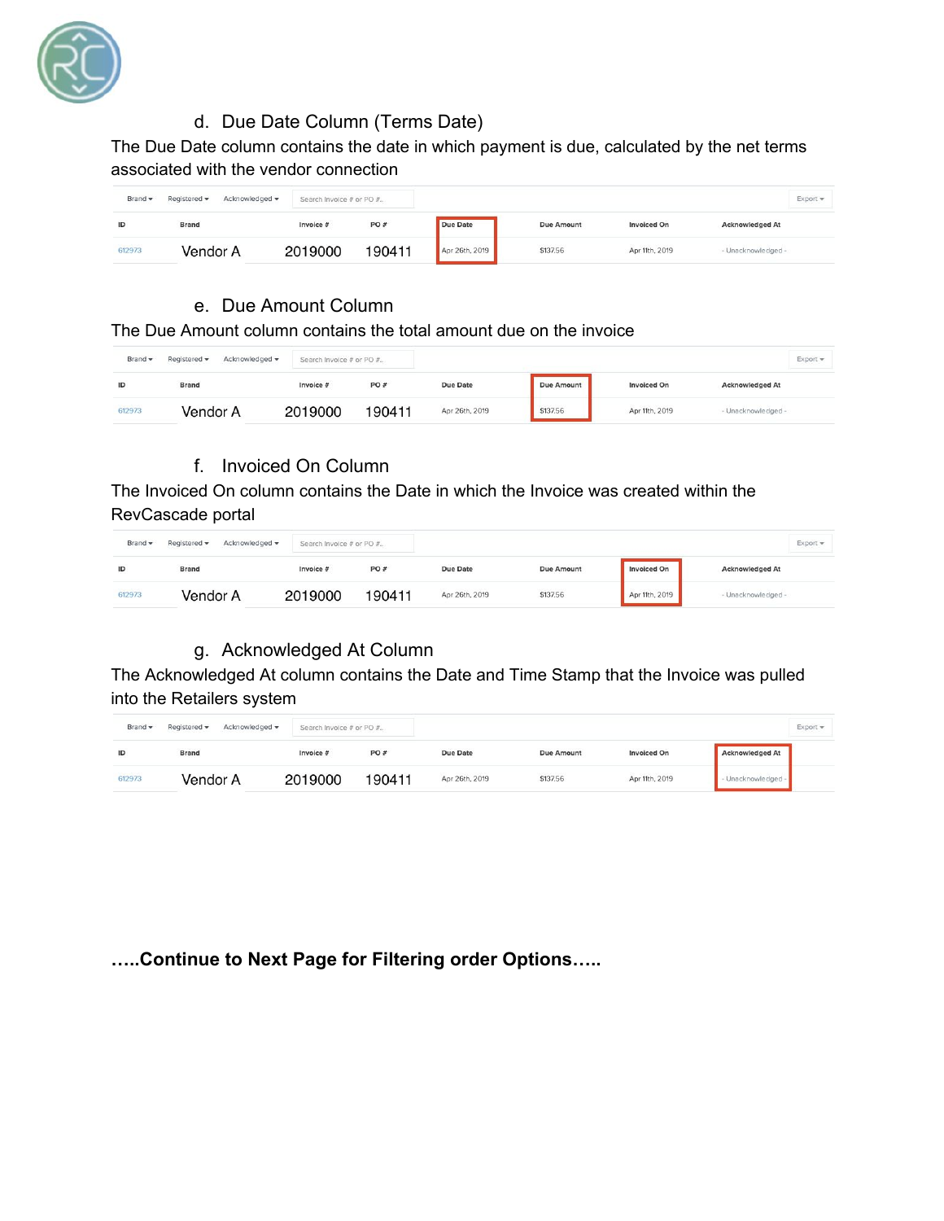

## d. Due Date Column (Terms Date)

The Due Date column contains the date in which payment is due, calculated by the net terms associated with the vendor connection

| Brand - | Acknowledged -<br>Registered - | Search Invoice # or PO # |         |                |                   |                    |                        | $Export =$ |
|---------|--------------------------------|--------------------------|---------|----------------|-------------------|--------------------|------------------------|------------|
| ID      | <b>Brand</b>                   | Invoice #                | PO $\#$ | Due Date       | <b>Due Amount</b> | <b>Invoiced On</b> | <b>Acknowledged At</b> |            |
| 612973  | Vendor A                       | 2019000                  | 190411  | Apr 26th, 2019 | \$137.56          | Apr 11th, 2019     | - Unacknowledged -     |            |

#### e. Due Amount Column

The Due Amount column contains the total amount due on the invoice

| Brand - | Acknowledged -<br>Registered - | Search Invoice # or PO # |                          |                 |            |                    | Export                 |
|---------|--------------------------------|--------------------------|--------------------------|-----------------|------------|--------------------|------------------------|
| ID      | <b>Brand</b>                   | Invoice #                | <b>CONTRACTOR</b><br>PO# | <b>Due Date</b> | Due Amount | <b>Invoiced On</b> | <b>Acknowledged At</b> |
| 612973  | Vendor A                       | 2019000                  | 190411                   | Apr 26th, 2019  | \$137.56   | Apr 11th, 2019     | - Unacknowledged -     |

#### f. Invoiced On Column

The Invoiced On column contains the Date in which the Invoice was created within the RevCascade portal

| Brand - | Acknowledged -<br>Registered - | Search Invoice # or PO # |        |                 |                   |                    | $Export =$             |
|---------|--------------------------------|--------------------------|--------|-----------------|-------------------|--------------------|------------------------|
| ID      | <b>Brand</b>                   | Invoice #                | PO#    | <b>Due Date</b> | <b>Due Amount</b> | <b>Invoiced On</b> | <b>Acknowledged At</b> |
| 612973  | Vendor A                       | 2019000                  | 190411 | Apr 26th, 2019  | \$137.56          | Apr 11th, 2019     | - Unacknowledged -     |

## g. Acknowledged At Column

The Acknowledged At column contains the Date and Time Stamp that the Invoice was pulled into the Retailers system

| Brand - | Acknowledged -<br>Registered - | Search Invoice # or PO # |        |                 |            |                    |                        | $Export =$ |
|---------|--------------------------------|--------------------------|--------|-----------------|------------|--------------------|------------------------|------------|
| ID      | Brand                          | Invoice #                | PO#    | <b>Due Date</b> | Due Amount | <b>Invoiced On</b> | <b>Acknowledged At</b> |            |
| 612973  | Vendor A                       | 2019000                  | 190411 | Apr 26th, 2019  | \$137.56   | Apr 11th, 2019     | Unacknowledged         |            |

## **…..Continue to Next Page for Filtering order Options…..**